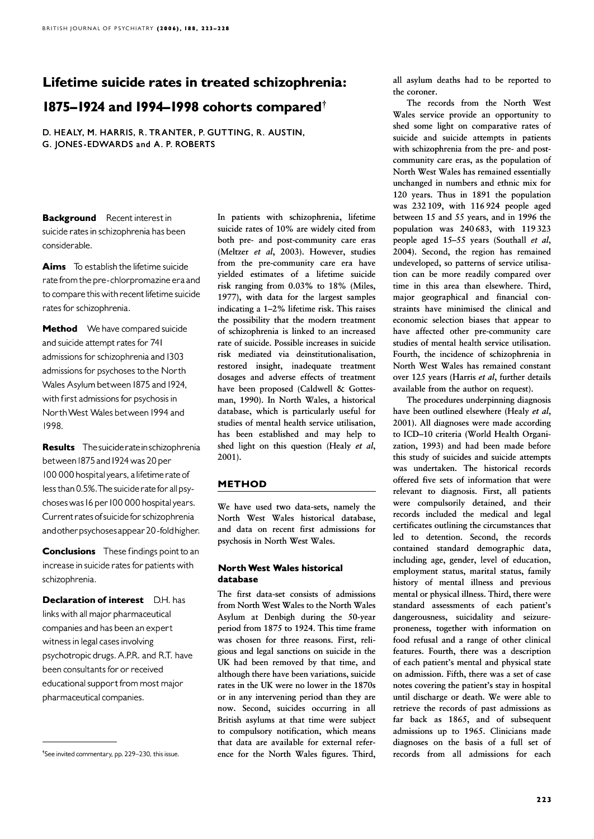# Lifetime suicide rates in treated schizophrenia:

# 1875–1924 and 1994–1998 cohorts compared $^{\dagger}$

D. HEALY, M. HARRIS, R. TRANTER, P. GUTTING, R. AUSTIN, G. JONES-EDWARDS and A. P. ROBERTS

**Background** Recent interest in suicide rates in schizophrenia has been considerable.

Aims To establish the lifetime suicide ratefromthe pre-chlorpromazine era and to compare this with recent lifetime suicide rates for schizophrenia.

**Method** We have compared suicide and suicide attempt rates for 741 admissions for schizophrenia and 1303 admissions for psychoses to the North Wales Asylum between 1875 and 1924, with first admissions for psychosis in NorthWest Wales between1994 and 1998.

Results The suicide rate in schizophrenia between 1875 and 1924 was 20 per 100 000 hospital years, a lifetime rate of less than 0.5%. The suicide rate for all psychoses was 16 per 100 000 hospital years. Current rates of suicide for schizophrenia andotherpsychosesappear 20 -foldhigher.

**Conclusions** These findings point to an increase in suicide rates for patients with schizophrenia.

**Declaration of interest** D.H. has links with all major pharmaceutical companies and has been an expert witness in legal cases involving psychotropic drugs. A.P.R. and R.T. have been consultants for or received educational support from most major pharmaceutical companies.

In patients with schizophrenia, lifetime suicide rates of 10% are widely cited from both pre- and post-community care eras (Meltzer et al, 2003). However, studies from the pre-community care era have yielded estimates of a lifetime suicide risk ranging from 0.03% to 18% (Miles, 1977), with data for the largest samples indicating a 1–2% lifetime risk. This raises the possibility that the modern treatment of schizophrenia is linked to an increased rate of suicide. Possible increases in suicide risk mediated via deinstitutionalisation, mediated via deinstitutionalisation, restored insight, inadequate treatment dosages and adverse effects of treatment have been proposed (Caldwell & Gottesman, 1990). In North Wales, a historical database, which is particularly useful for studies of mental health service utilisation, has been established and may help to shed light on this question (Healy et al, 2001).

## METHOD

We have used two data-sets, namely the North West Wales historical database, and data on recent first admissions for psychosis in North West Wales.

#### **North West Wales historical** database

The first data-set consists of admissions from North West Wales to the North Wales Asylum at Denbigh during the 50-year period from 1875 to 1924. This time frame was chosen for three reasons. First, religious and legal sanctions on suicide in the UK had been removed by that time, and although there have been variations, suicide rates in the UK were no lower in the 1870s or in any intervening period than they are now. Second, suicides occurring in all British asylums at that time were subject to compulsory notification, which means that data are available for external reference for the North Wales figures. Third,

all asylum deaths had to be reported to the coroner.

The records from the North West Wales service provide an opportunity to shed some light on comparative rates of suicide and suicide attempts in patients with schizophrenia from the pre- and postcommunity care eras, as the population of North West Wales has remained essentially unchanged in numbers and ethnic mix for 120 years. Thus in 1891 the population was 232 109, with 116 924 people aged between 15 and 55 years, and in 1996 the population was 240 683, with 119 323 people aged 15–55 years (Southall et al, 2004). Second, the region has remained undeveloped, so patterns of service utilisation can be more readily compared over time in this area than elsewhere. Third, major geographical and financial constraints have minimised the clinical and economic selection biases that appear to have affected other pre-community care studies of mental health service utilisation. Fourth, the incidence of schizophrenia in North West Wales has remained constant over 125 years (Harris et al, further details available from the author on request).

The procedures underpinning diagnosis have been outlined elsewhere (Healy et al, 2001). All diagnoses were made according to ICD–10 criteria (World Health Organization, 1993) and had been made before this study of suicides and suicide attempts was undertaken. The historical records offered five sets of information that were relevant to diagnosis. First, all patients were compulsorily detained, and their records included the medical and legal certificates outlining the circumstances that led to detention. Second, the records contained standard demographic data, including age, gender, level of education, employment status, marital status, family history of mental illness and previous mental or physical illness. Third, there were standard assessments of each patient's dangerousness, suicidality and seizureproneness, together with information on food refusal and a range of other clinical features. Fourth, there was a description of each patient's mental and physical state on admission. Fifth, there was a set of case notes covering the patient's stay in hospital until discharge or death. We were able to retrieve the records of past admissions as far back as 1865, and of subsequent admissions up to 1965. Clinicians made diagnoses on the basis of a full set of records from all admissions for each

<sup>&</sup>lt;sup>†</sup>See invited commentary, pp. 229–230, this issue.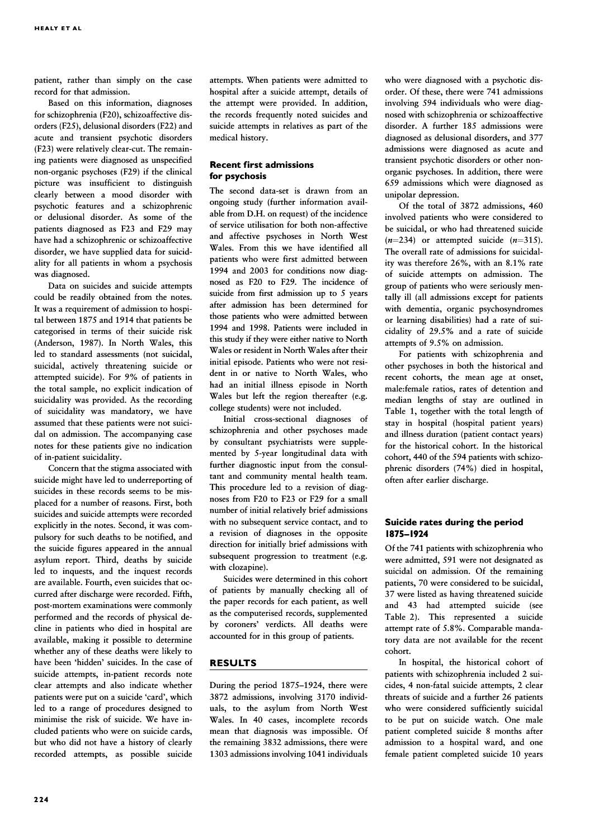patient, rather than simply on the case record for that admission.

Based on this information, diagnoses for schizophrenia (F20), schizoaffective disorders (F25), delusional disorders (F22) and acute and transient psychotic disorders  $(F23)$  were relatively clear-cut. The remaining patients were diagnosed as unspecified non-organic psychoses (F29) if the clinical picture was insufficient to distinguish clearly between a mood disorder with psychotic features and a schizophrenic or delusional disorder. As some of the patients diagnosed as F23 and F29 may have had a schizophrenic or schizoaffective disorder, we have supplied data for suicidality for all patients in whom a psychosis was diagnosed.

Data on suicides and suicide attempts could be readily obtained from the notes. It was a requirement of admission to hospital between 1875 and 1914 that patients be categorised in terms of their suicide risk (Anderson, 1987). In North Wales, this led to standard assessments (not suicidal, suicidal, actively threatening suicide or attempted suicide). For 9% of patients in the total sample, no explicit indication of suicidality was provided. As the recording of suicidality was mandatory, we have assumed that these patients were not suicidal on admission. The accompanying case notes for these patients give no indication of in-patient suicidality.

Concern that the stigma associated with suicide might have led to underreporting of suicides in these records seems to be misplaced for a number of reasons. First, both suicides and suicide attempts were recorded explicitly in the notes. Second, it was compulsory for such deaths to be notified, and the suicide figures appeared in the annual asylum report. Third, deaths by suicide led to inquests, and the inquest records are available. Fourth, even suicides that occurred after discharge were recorded. Fifth, post-mortem examinations were commonly performed and the records of physical decline in patients who died in hospital are available, making it possible to determine whether any of these deaths were likely to have been 'hidden' suicides. In the case of suicide attempts, in-patient records note clear attempts and also indicate whether patients were put on a suicide 'card', which led to a range of procedures designed to minimise the risk of suicide. We have included patients who were on suicide cards, but who did not have a history of clearly recorded attempts, as possible suicide attempts. When patients were admitted to hospital after a suicide attempt, details of the attempt were provided. In addition, the records frequently noted suicides and suicide attempts in relatives as part of the medical history.

#### Recent first admissions for psychosis

The second data-set is drawn from an ongoing study (further information available from D.H. on request) of the incidence of service utilisation for both non-affective and affective psychoses in North West Wales. From this we have identified all patients who were first admitted between 1994 and 2003 for conditions now diagnosed as F20 to F29. The incidence of suicide from first admission up to  $5$  years after admission has been determined for those patients who were admitted between 1994 and 1998. Patients were included in 1994 this study if they were either native to North Wales or resident in North Wales after their initial episode. Patients who were not resident in or native to North Wales, who had an initial illness episode in North Wales but left the region thereafter (e.g. college students) were not included.

Initial cross-sectional diagnoses of schizophrenia and other psychoses made by consultant psychiatrists were supplemented by 5-year longitudinal data with further diagnostic input from the consultant and community mental health team. This procedure led to a revision of diagnoses from F20 to F23 or F29 for a small number of initial relatively brief admissions with no subsequent service contact, and to a revision of diagnoses in the opposite direction for initially brief admissions with subsequent progression to treatment (e.g. with clozapine).

Suicides were determined in this cohort of patients by manually checking all of the paper records for each patient, as well as the computerised records, supplemented by coroners' verdicts. All deaths were accounted for in this group of patients.

#### RESULTS

During the period 1875–1924, there were 3872 admissions, involving 3170 individuals, to the asylum from North West Wales. In 40 cases, incomplete records mean that diagnosis was impossible. Of the remaining 3832 admissions, there were 1303 admissions involving 1041 individuals

who were diagnosed with a psychotic disorder. Of these, there were 741 admissions involving 594 individuals who were diagnosed with schizophrenia or schizoaffective disorder. A further 185 admissions were diagnosed as delusional disorders, and 377 admissions were diagnosed as acute and transient psychotic disorders or other nonorganic psychoses. In addition, there were 659 admissions which were diagnosed as unipolar depression.

Of the total of 3872 admissions, 460 involved patients who were considered to be suicidal, or who had threatened suicide  $(n=234)$  or attempted suicide  $(n=315)$ . The overall rate of admissions for suicidality was therefore 26%, with an 8.1% rate of suicide attempts on admission. The group of patients who were seriously mentally ill (all admissions except for patients with dementia, organic psychosyndromes or learning disabilities) had a rate of suicidality of 29.5% and a rate of suicide attempts of 9.5% on admission.

For patients with schizophrenia and other psychoses in both the historical and recent cohorts, the mean age at onset, male:female ratios, rates of detention and median lengths of stay are outlined in Table 1, together with the total length of stay in hospital (hospital patient years) and illness duration (patient contact years) for the historical cohort. In the historical cohort, 440 of the 594 patients with schizophrenic disorders (74%) died in hospital, often after earlier discharge.

#### Suicide rates during the period 1875-1924

Of the 741 patients with schizophrenia who were admitted, 591 were not designated as suicidal on admission. Of the remaining patients, 70 were considered to be suicidal, 37 were listed as having threatened suicide and 43 had attempted suicide (see Table 2). This represented a suicide attempt rate of 5.8%. Comparable mandatory data are not available for the recent cohort.

In hospital, the historical cohort of patients with schizophrenia included 2 suicides, 4 non-fatal suicide attempts, 2 clear threats of suicide and a further 26 patients who were considered sufficiently suicidal to be put on suicide watch. One male patient completed suicide 8 months after admission to a hospital ward, and one female patient completed suicide 10 years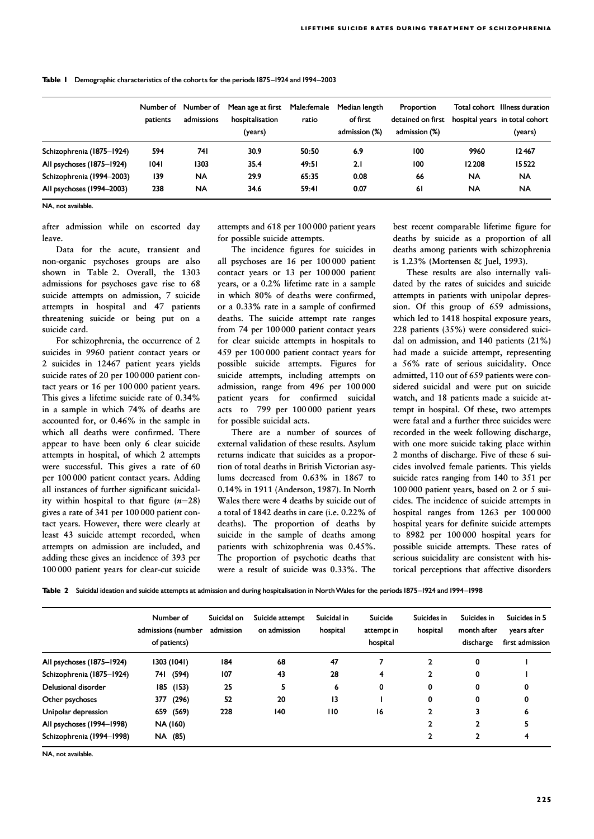Table 1 Demographic characteristics of the cohorts for the periods 1875-1924 and 1994-2003

|                           | Number of<br>patients | Number of<br>admissions | Mean age at first<br>hospitalisation<br>(years) | Male:female<br>ratio | Median length<br>of first<br>admission (%) | <b>Proportion</b><br>detained on first<br>admission (%) |           | Total cohort Illness duration<br>hospital years in total cohort<br>(years) |
|---------------------------|-----------------------|-------------------------|-------------------------------------------------|----------------------|--------------------------------------------|---------------------------------------------------------|-----------|----------------------------------------------------------------------------|
| Schizophrenia (1875-1924) | 594                   | 74 I                    | 30.9                                            | 50:50                | 6.9                                        | 100                                                     | 9960      | 12467                                                                      |
| All psychoses (1875–1924) | 1041                  | 1303                    | 35.4                                            | 49:51                | 2.1                                        | 100                                                     | 12 208    | 15522                                                                      |
| Schizophrenia (1994-2003) | 139                   | <b>NA</b>               | 29.9                                            | 65:35                | 0.08                                       | 66                                                      | <b>NA</b> | <b>NA</b>                                                                  |
| All psychoses (1994-2003) | 238                   | <b>NA</b>               | 34.6                                            | 59:41                | 0.07                                       | <b>61</b>                                               | <b>NA</b> | <b>NA</b>                                                                  |

NA, not available.

after admission while on escorted day leave.

Data for the acute, transient and non-organic psychoses groups are also shown in Table 2. Overall, the 1303 admissions for psychoses gave rise to 68 suicide attempts on admission, 7 suicide attempts in hospital and 47 patients threatening suicide or being put on a suicide card.

For schizophrenia, the occurrence of 2 suicides in 9960 patient contact years or 2 suicides in 12467 patient years yields suicide rates of 20 per 100 000 patient contact years or 16 per 100 000 patient years. This gives a lifetime suicide rate of 0.34% in a sample in which 74% of deaths are accounted for, or 0.46% in the sample in which all deaths were confirmed. There appear to have been only 6 clear suicide attempts in hospital, of which 2 attempts were successful. This gives a rate of  $60$ per 100 000 patient contact years. Adding all instances of further significant suicidality within hospital to that figure  $(n=28)$ gives a rate of 341 per 100 000 patient contact years. However, there were clearly at least 43 suicide attempt recorded, when attempts on admission are included, and adding these gives an incidence of 393 per 100 000 patient years for clear-cut suicide

attempts and 618 per 100 000 patient years for possible suicide attempts.

The incidence figures for suicides in all psychoses are 16 per 100 000 patient contact years or 13 per 100 000 patient years, or a 0.2% lifetime rate in a sample in which 80% of deaths were confirmed, or a 0.33% rate in a sample of confirmed deaths. The suicide attempt rate ranges from 74 per 100 000 patient contact years for clear suicide attempts in hospitals to 459 per 100 000 patient contact years for possible suicide attempts. Figures for suicide attempts, including attempts on admission, range from 496 per 100 000 patient years for confirmed suicidal acts to  $799$  per  $100000$  patient years for possible suicidal acts.

There are a number of sources of external validation of these results. Asylum returns indicate that suicides as a proportion of total deaths in British Victorian asylums decreased from 0.63% in 1867 to 0.14% in 1911 (Anderson, 1987). In North Wales there were 4 deaths by suicide out of a total of 1842 deaths in care (i.e. 0.22% of deaths). The proportion of deaths by suicide in the sample of deaths among patients with schizophrenia was 0.45%. The proportion of psychotic deaths that were a result of suicide was 0.33%. The best recent comparable lifetime figure for deaths by suicide as a proportion of all deaths among patients with schizophrenia is 1.23% (Mortensen & Juel, 1993).

These results are also internally validated by the rates of suicides and suicide attempts in patients with unipolar depression. Of this group of 659 admissions, which led to 1418 hospital exposure years, 228 patients (35%) were considered suicidal on admission, and 140 patients (21%) had made a suicide attempt, representing a 56% rate of serious suicidality. Once admitted, 110 out of 659 patients were considered suicidal and were put on suicide watch, and 18 patients made a suicide attempt in hospital. Of these, two attempts were fatal and a further three suicides were recorded in the week following discharge, with one more suicide taking place within 2 months of discharge. Five of these 6 suicides involved female patients. This yields suicide rates ranging from 140 to 351 per 100 000 patient years, based on 2 or 5 suicides. The incidence of suicide attempts in hospital ranges from 1263 per 100 000 hospital years for definite suicide attempts to 8982 per 100 000 hospital years for possible suicide attempts. These rates of serious suicidality are consistent with historical perceptions that affective disorders

Table 2 Suicidal ideation and suicide attempts at admission and during hospitalisation in North Wales for the periods 1875–1924 and 1994–1998

|                           | Number of<br>admissions (number<br>of patients) | Suicidal on<br>admission | Suicide attempt<br>on admission | Suicidal in<br>hospital | Suicide<br>attempt in<br>hospital | Suicides in<br>hospital | Suicides in<br>month after<br>discharge | Suicides in 5<br>years after<br>first admission |
|---------------------------|-------------------------------------------------|--------------------------|---------------------------------|-------------------------|-----------------------------------|-------------------------|-----------------------------------------|-------------------------------------------------|
| All psychoses (1875-1924) | 1303 (1041)                                     | 184                      | 68                              | 47                      |                                   |                         | 0                                       |                                                 |
| Schizophrenia (1875-1924) | 741 (594)                                       | 107                      | 43                              | 28                      | 4                                 |                         | 0                                       |                                                 |
| Delusional disorder       | 185 (153)                                       | 25                       | 5                               | 6                       | 0                                 | 0                       | 0                                       | 0                                               |
| Other psychoses           | (296)<br>377                                    | 52                       | 20                              | 13                      |                                   | 0                       | 0                                       | 0                                               |
| Unipolar depression       | 659 (569)                                       | 228                      | 140                             | $\overline{110}$        | 16                                |                         |                                         | 6                                               |
| All psychoses (1994-1998) | NA (160)                                        |                          |                                 |                         |                                   |                         | 2                                       |                                                 |
| Schizophrenia (1994-1998) | NA (85)                                         |                          |                                 |                         |                                   |                         | 2                                       |                                                 |

NA, not available.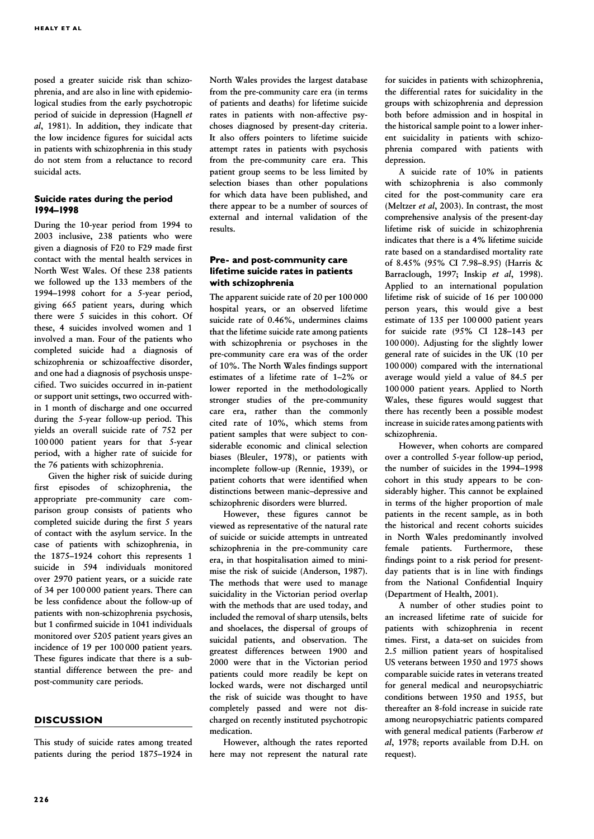posed a greater suicide risk than schizophrenia, and are also in line with epidemiological studies from the early psychotropic period of suicide in depression (Hagnell et al, 1981). In addition, they indicate that the low incidence figures for suicidal acts in patients with schizophrenia in this study do not stem from a reluctance to record suicidal acts.

### Suicide rates during the period 1994^1998

During the 10-year period from 1994 to 2003 inclusive, 238 patients who were given a diagnosis of F20 to F29 made first contact with the mental health services in North West Wales. Of these 238 patients we followed up the 133 members of the 1994–1998 cohort for a 5-year period, giving 665 patient years, during which there were 5 suicides in this cohort. Of these, 4 suicides involved women and 1 involved a man. Four of the patients who completed suicide had a diagnosis of schizophrenia or schizoaffective disorder, and one had a diagnosis of psychosis unspecified. Two suicides occurred in in-patient or support unit settings, two occurred within 1 month of discharge and one occurred during the 5-year follow-up period. This yields an overall suicide rate of 752 per 100 000 patient years for that 5-year period, with a higher rate of suicide for the 76 patients with schizophrenia.

Given the higher risk of suicide during first episodes of schizophrenia, the appropriate pre-community care comparison group consists of patients who completed suicide during the first 5 years of contact with the asylum service. In the case of patients with schizophrenia, in the 1875–1924 cohort this represents 1 suicide in 594 individuals monitored over 2970 patient years, or a suicide rate of 34 per  $100000$  patient years. There can be less confidence about the follow-up of patients with non-schizophrenia psychosis, but 1 confirmed suicide in 1041 individuals monitored over 5205 patient years gives an incidence of 19 per 100 000 patient years. These figures indicate that there is a substantial difference between the pre- and post-community care periods.

#### **DISCUSSION**

This study of suicide rates among treated patients during the period 1875–1924 in North Wales provides the largest database from the pre-community care era (in terms of patients and deaths) for lifetime suicide rates in patients with non-affective psychoses diagnosed by present-day criteria. It also offers pointers to lifetime suicide attempt rates in patients with psychosis from the pre-community care era. This patient group seems to be less limited by selection biases than other populations for which data have been published, and there appear to be a number of sources of external and internal validation of the results.

### Pre- and post-community care lifetime suicide rates in patients with schizophrenia

The apparent suicide rate of 20 per 100 000 hospital years, or an observed lifetime suicide rate of 0.46%, undermines claims that the lifetime suicide rate among patients with schizophrenia or psychoses in the pre-community care era was of the order of 10%. The North Wales findings support estimates of a lifetime rate of 1–2% or lower reported in the methodologically stronger studies of the pre-community care era, rather than the commonly cited rate of 10%, which stems from patient samples that were subject to considerable economic and clinical selection biases (Bleuler, 1978), or patients with incomplete follow-up (Rennie, 1939), or patient cohorts that were identified when distinctions between manic–depressive and schizophrenic disorders were blurred.

However, these figures cannot be viewed as representative of the natural rate of suicide or suicide attempts in untreated schizophrenia in the pre-community care era, in that hospitalisation aimed to minimise the risk of suicide (Anderson, 1987). The methods that were used to manage suicidality in the Victorian period overlap with the methods that are used today, and included the removal of sharp utensils, belts and shoelaces, the dispersal of groups of suicidal patients, and observation. The greatest differences between 1900 and 2000 were that in the Victorian period patients could more readily be kept on locked wards, were not discharged until the risk of suicide was thought to have completely passed and were not discharged on recently instituted psychotropic medication.

However, although the rates reported here may not represent the natural rate

for suicides in patients with schizophrenia, the differential rates for suicidality in the groups with schizophrenia and depression both before admission and in hospital in the historical sample point to a lower inherent suicidality in patients with schizophrenia compared with patients with depression.

A suicide rate of 10% in patients with schizophrenia is also commonly cited for the post-community care era (Meltzer et al, 2003). In contrast, the most comprehensive analysis of the present-day lifetime risk of suicide in schizophrenia indicates that there is a 4% lifetime suicide rate based on a standardised mortality rate of 8.45% (95% CI 7.98–8.95) (Harris & Barraclough, 1997; Inskip et al, 1998). Applied to an international population lifetime risk of suicide of 16 per 100 000 person years, this would give a best estimate of 135 per 100 000 patient years for suicide rate (95% CI 128–143 per 100 000). Adjusting for the slightly lower general rate of suicides in the UK (10 per 100 000) compared with the international average would yield a value of 84.5 per 100 000 patient years. Applied to North Wales, these figures would suggest that there has recently been a possible modest increase in suicide rates among patients with schizophrenia.

However, when cohorts are compared over a controlled 5-year follow-up period, the number of suicides in the 1994–1998 cohort in this study appears to be considerably higher. This cannot be explained in terms of the higher proportion of male patients in the recent sample, as in both the historical and recent cohorts suicides in North Wales predominantly involved female patients. Furthermore, these findings point to a risk period for presentday patients that is in line with findings from the National Confidential Inquiry (Department of Health, 2001).

A number of other studies point to an increased lifetime rate of suicide for patients with schizophrenia in recent times. First, a data-set on suicides from 2.5 million patient years of hospitalised US veterans between 1950 and 1975 shows comparable suicide rates in veterans treated for general medical and neuropsychiatric conditions between 1950 and 1955, but thereafter an 8-fold increase in suicide rate among neuropsychiatric patients compared with general medical patients (Farberow et al, 1978; reports available from D.H. on request).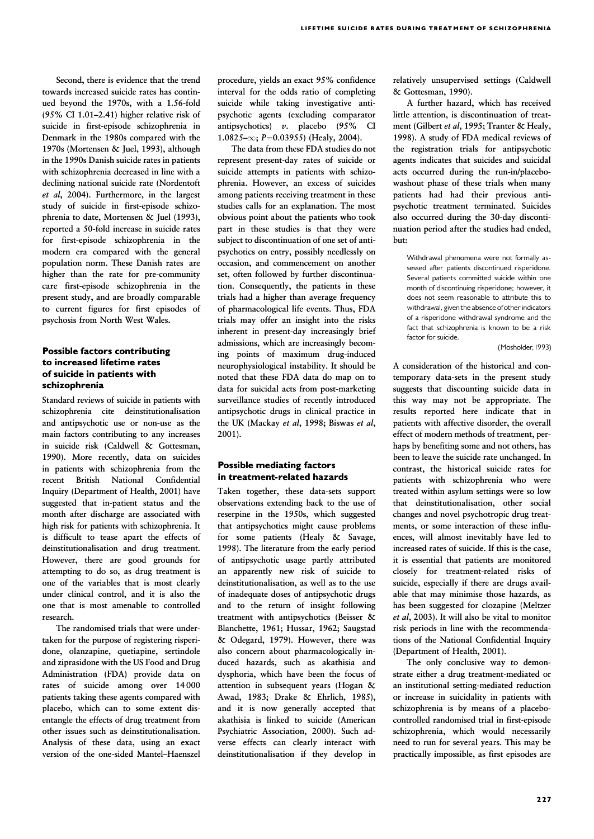Second, there is evidence that the trend towards increased suicide rates has continued beyond the 1970s, with a 1.56-fold (95% CI 1.01–2.41) higher relative risk of suicide in first-episode schizophrenia in Denmark in the 1980s compared with the 1970s (Mortensen & Juel, 1993), although in the 1990s Danish suicide rates in patients with schizophrenia decreased in line with a declining national suicide rate (Nordentoft et al, 2004). Furthermore, in the largest study of suicide in first-episode schizophrenia to date, Mortensen & Juel (1993), reported a 50-fold increase in suicide rates for first-episode schizophrenia in the modern era compared with the general population norm. These Danish rates are higher than the rate for pre-community care first-episode schizophrenia in the present study, and are broadly comparable to current figures for first episodes of psychosis from North West Wales.

#### Possible factors contributing Possible to increased lifetime rates of suicide in patients with schizophrenia

Standard reviews of suicide in patients with schizophrenia cite deinstitutionalisation and antipsychotic use or non-use as the main factors contributing to any increases in suicide risk (Caldwell & Gottesman, 1990). More recently, data on suicides in patients with schizophrenia from the recent British National Confidential Inquiry (Department of Health, 2001) have suggested that in-patient status and the month after discharge are associated with high risk for patients with schizophrenia. It is difficult to tease apart the effects of deinstitutionalisation and drug treatment. However, there are good grounds for attempting to do so, as drug treatment is one of the variables that is most clearly under clinical control, and it is also the one that is most amenable to controlled research. research.

The randomised trials that were undertaken for the purpose of registering risperidone, olanzapine, quetiapine, sertindole and ziprasidone with the US Food and Drug Administration (FDA) provide data on rates of suicide among over 14 000 patients taking these agents compared with placebo, which can to some extent disentangle the effects of drug treatment from other issues such as deinstitutionalisation. Analysis of these data, using an exact version of the one-sided Mantel–Haenszel

procedure, yields an exact 95% confidence interval for the odds ratio of completing suicide while taking investigative antipsychotic agents (excluding comparator antipsychotics) v. placebo (95% CI  $1.0825-\infty$ ; P=0.03955) (Healy, 2004).

The data from these FDA studies do not represent present-day rates of suicide or suicide attempts in patients with schizophrenia. However, an excess of suicides among patients receiving treatment in these studies calls for an explanation. The most obvious point about the patients who took part in these studies is that they were subject to discontinuation of one set of antipsychotics on entry, possibly needlessly on occasion, and commencement on another set, often followed by further discontinuation. Consequently, the patients in these trials had a higher than average frequency of pharmacological life events. Thus, FDA trials may offer an insight into the risks inherent in present-day increasingly brief admissions, which are increasingly becoming points of maximum drug-induced neurophysiological instability. It should be noted that these FDA data do map on to data for suicidal acts from post-marketing surveillance studies of recently introduced antipsychotic drugs in clinical practice in the UK (Mackay et al, 1998; Biswas et al, 2001).

#### Possible mediating factors in treatment-related hazards

Taken together, these data-sets support observations extending back to the use of reserpine in the 1950s, which suggested that antipsychotics might cause problems for some patients (Healy & Savage, 1998). The literature from the early period of antipsychotic usage partly attributed an apparently new risk of suicide to deinstitutionalisation, as well as to the use of inadequate doses of antipsychotic drugs and to the return of insight following treatment with antipsychotics (Beisser & Blanchette, 1961; Hussar, 1962; Saugstad & Odegard, 1979). However, there was also concern about pharmacologically induced hazards, such as akathisia and dysphoria, which have been the focus of attention in subsequent years (Hogan & Awad, 1983; Drake & Ehrlich, 1985), and it is now generally accepted that akathisia is linked to suicide (American Psychiatric Association, 2000). Such adverse effects can clearly interact with deinstitutionalisation if they develop in relatively unsupervised settings (Caldwell & Gottesman, 1990).

A further hazard, which has received little attention, is discontinuation of treatment (Gilbert et al, 1995; Tranter & Healy, 1998). A study of FDA medical reviews of the registration trials for antipsychotic agents indicates that suicides and suicidal acts occurred during the run-in/placebowashout phase of these trials when many patients had had their previous antipsychotic treatment terminated. Suicides also occurred during the 30-day discontinuation period after the studies had ended, but:

Withdrawal phenomena were not formally assessed after patients discontinued risperidone. Several patients committed suicide within one month of discontinuing risperidone; however, it does not seem reasonable to attribute this to withdrawal, given the absence of other indicators of a risperidone withdrawal syndrome and the fact that schizophrenia is known to be a risk factor for suicide.

(Mosholder,1993)

A consideration of the historical and contemporary data-sets in the present study suggests that discounting suicide data in this way may not be appropriate. The results reported here indicate that in patients with affective disorder, the overall effect of modern methods of treatment, perhaps by benefiting some and not others, has been to leave the suicide rate unchanged. In contrast, the historical suicide rates for patients with schizophrenia who were treated within asylum settings were so low that deinstitutionalisation, other social changes and novel psychotropic drug treatments, or some interaction of these influences, will almost inevitably have led to increased rates of suicide. If this is the case, it is essential that patients are monitored closely for treatment-related risks of suicide, especially if there are drugs available that may minimise those hazards, as has been suggested for clozapine (Meltzer et al, 2003). It will also be vital to monitor risk periods in line with the recommendations of the National Confidential Inquiry (Department of Health, 2001).

The only conclusive way to demonstrate either a drug treatment-mediated or an institutional setting-mediated reduction or increase in suicidality in patients with schizophrenia is by means of a placebocontrolled randomised trial in first-episode schizophrenia, which would necessarily need to run for several years. This may be practically impossible, as first episodes are